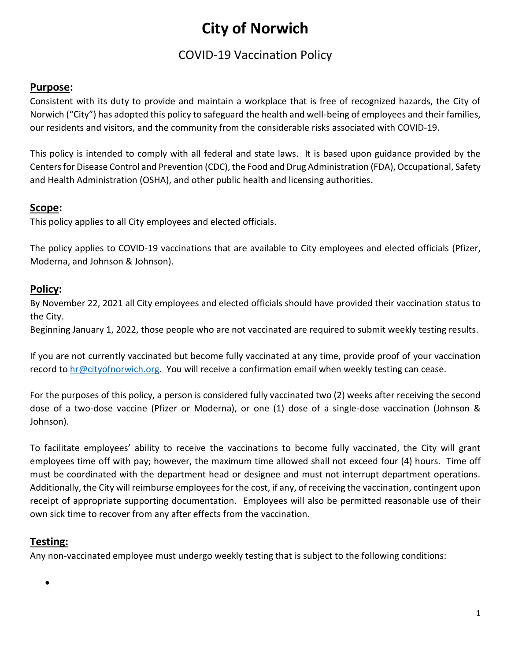# **City of Norwich**

# COVID-19 Vaccination Policy

# **Purpose:**

Consistent with its duty to provide and maintain a workplace that is free of recognized hazards, the City of Norwich ("City") has adopted this policy to safeguard the health and well-being of employees and their families, our residents and visitors, and the community from the considerable risks associated with COVID-19.

This policy is intended to comply with all federal and state laws. It is based upon guidance provided by the Centers for Disease Control and Prevention (CDC), the Food and Drug Administration (FDA), Occupational, Safety and Health Administration (OSHA), and other public health and licensing authorities.

# **Scope:**

This policy applies to all City employees and elected officials.

The policy applies to COVID-19 vaccinations that are available to City employees and elected officials (Pfizer, Moderna, and Johnson & Johnson).

# **Policy:**

By November 22, 2021 all City employees and elected officials should have provided their vaccination status to the City.

Beginning January 1, 2022, those people who are not vaccinated are required to submit weekly testing results.

If you are not currently vaccinated but become fully vaccinated at any time, provide proof of your vaccination record to [hr@cityofnorwich.org.](mailto:hr@cityofnorwich.org) You will receive a confirmation email when weekly testing can cease.

For the purposes of this policy, a person is considered fully vaccinated two (2) weeks after receiving the second dose of a two-dose vaccine (Pfizer or Moderna), or one (1) dose of a single-dose vaccination (Johnson & Johnson).

To facilitate employees' ability to receive the vaccinations to become fully vaccinated, the City will grant employees time off with pay; however, the maximum time allowed shall not exceed four (4) hours. Time off must be coordinated with the department head or designee and must not interrupt department operations. Additionally, the City will reimburse employees for the cost, if any, of receiving the vaccination, contingent upon receipt of appropriate supporting documentation. Employees will also be permitted reasonable use of their own sick time to recover from any after effects from the vaccination.

# **Testing:**

Any non-vaccinated employee must undergo weekly testing that is subject to the following conditions:

 $\bullet$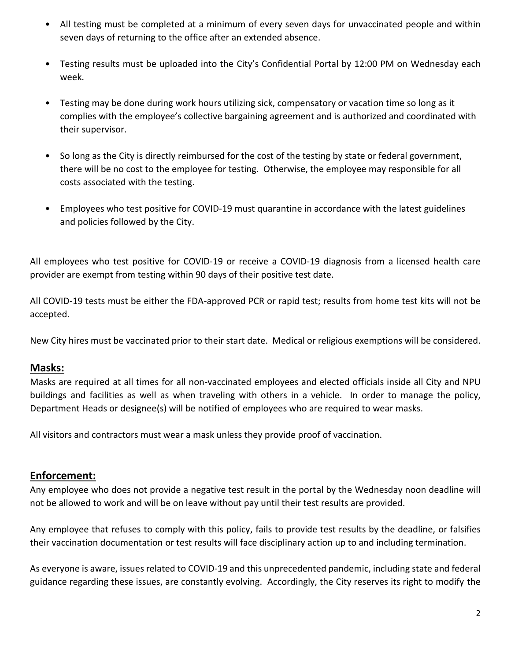- All testing must be completed at a minimum of every seven days for unvaccinated people and within seven days of returning to the office after an extended absence.
- Testing results must be uploaded into the City's Confidential Portal by 12:00 PM on Wednesday each week.
- Testing may be done during work hours utilizing sick, compensatory or vacation time so long as it complies with the employee's collective bargaining agreement and is authorized and coordinated with their supervisor.
- So long as the City is directly reimbursed for the cost of the testing by state or federal government, there will be no cost to the employee for testing. Otherwise, the employee may responsible for all costs associated with the testing.
- Employees who test positive for COVID-19 must quarantine in accordance with the latest guidelines and policies followed by the City.

All employees who test positive for COVID-19 or receive a COVID-19 diagnosis from a licensed health care provider are exempt from testing within 90 days of their positive test date.

All COVID-19 tests must be either the FDA-approved PCR or rapid test; results from home test kits will not be accepted.

New City hires must be vaccinated prior to their start date. Medical or religious exemptions will be considered.

## **Masks:**

Masks are required at all times for all non-vaccinated employees and elected officials inside all City and NPU buildings and facilities as well as when traveling with others in a vehicle. In order to manage the policy, Department Heads or designee(s) will be notified of employees who are required to wear masks.

All visitors and contractors must wear a mask unless they provide proof of vaccination.

## **Enforcement:**

Any employee who does not provide a negative test result in the portal by the Wednesday noon deadline will not be allowed to work and will be on leave without pay until their test results are provided.

Any employee that refuses to comply with this policy, fails to provide test results by the deadline, or falsifies their vaccination documentation or test results will face disciplinary action up to and including termination.

As everyone is aware, issues related to COVID-19 and this unprecedented pandemic, including state and federal guidance regarding these issues, are constantly evolving. Accordingly, the City reserves its right to modify the